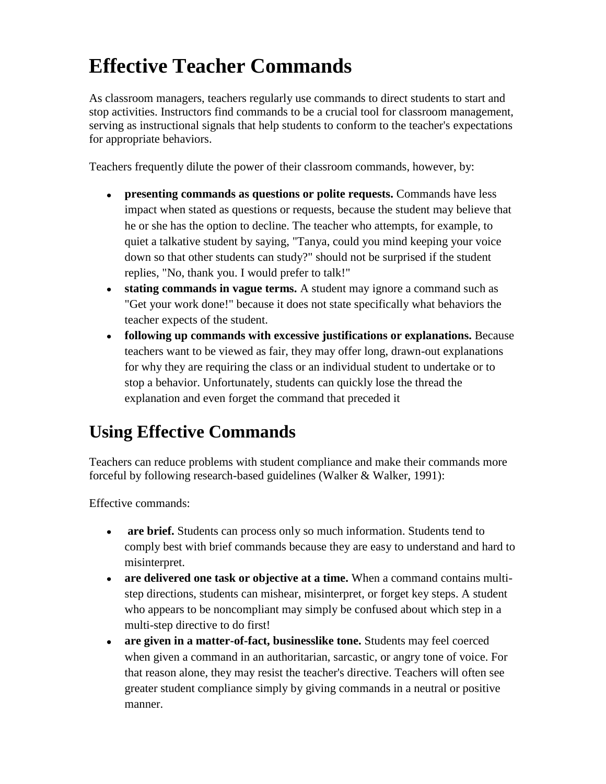## **Effective Teacher Commands**

As classroom managers, teachers regularly use commands to direct students to start and stop activities. Instructors find commands to be a crucial tool for classroom management, serving as instructional signals that help students to conform to the teacher's expectations for appropriate behaviors.

Teachers frequently dilute the power of their classroom commands, however, by:

- **presenting commands as questions or polite requests.** Commands have less  $\bullet$ impact when stated as questions or requests, because the student may believe that he or she has the option to decline. The teacher who attempts, for example, to quiet a talkative student by saying, "Tanya, could you mind keeping your voice down so that other students can study?" should not be surprised if the student replies, "No, thank you. I would prefer to talk!"
- **stating commands in vague terms.** A student may ignore a command such as "Get your work done!" because it does not state specifically what behaviors the teacher expects of the student.
- **following up commands with excessive justifications or explanations.** Because teachers want to be viewed as fair, they may offer long, drawn-out explanations for why they are requiring the class or an individual student to undertake or to stop a behavior. Unfortunately, students can quickly lose the thread the explanation and even forget the command that preceded it

## **Using Effective Commands**

Teachers can reduce problems with student compliance and make their commands more forceful by following research-based guidelines (Walker & Walker, 1991):

Effective commands:

- **are brief.** Students can process only so much information. Students tend to  $\bullet$ comply best with brief commands because they are easy to understand and hard to misinterpret.
- **are delivered one task or objective at a time.** When a command contains multistep directions, students can mishear, misinterpret, or forget key steps. A student who appears to be noncompliant may simply be confused about which step in a multi-step directive to do first!
- are given in a matter-of-fact, businesslike tone. Students may feel coerced when given a command in an authoritarian, sarcastic, or angry tone of voice. For that reason alone, they may resist the teacher's directive. Teachers will often see greater student compliance simply by giving commands in a neutral or positive manner.